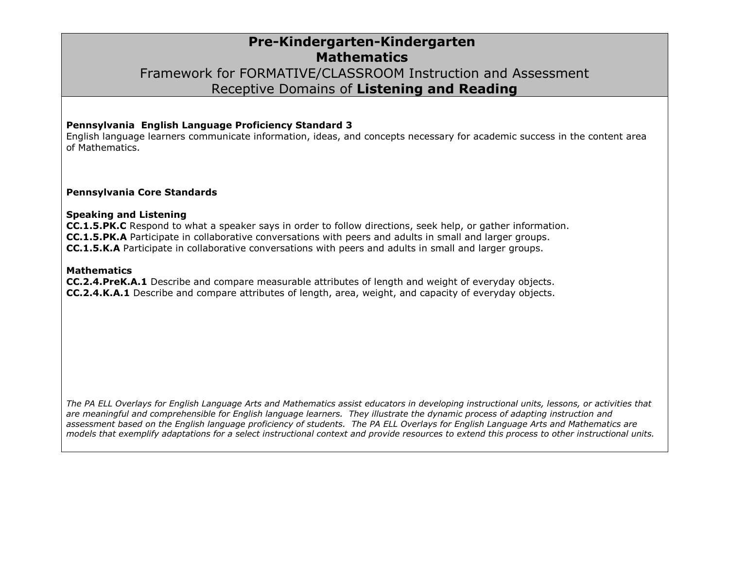## **Pre-Kindergarten-Kindergarten Mathematics** Framework for FORMATIVE/CLASSROOM Instruction and Assessment Receptive Domains of **Listening and Reading**

#### **Pennsylvania English Language Proficiency Standard 3**

English language learners communicate information, ideas, and concepts necessary for academic success in the content area of Mathematics.

#### **Pennsylvania Core Standards**

#### **Speaking and Listening**

**CC.1.5.PK.C** Respond to what a speaker says in order to follow directions, seek help, or gather information. **CC.1.5.PK.A** Participate in collaborative conversations with peers and adults in small and larger groups. **CC.1.5.K.A** Participate in collaborative conversations with peers and adults in small and larger groups.

#### **Mathematics**

**CC.2.4.PreK.A.1** Describe and compare measurable attributes of length and weight of everyday objects. **CC.2.4.K.A.1** Describe and compare attributes of length, area, weight, and capacity of everyday objects.

*The PA ELL Overlays for English Language Arts and Mathematics assist educators in developing instructional units, lessons, or activities that are meaningful and comprehensible for English language learners. They illustrate the dynamic process of adapting instruction and assessment based on the English language proficiency of students. The PA ELL Overlays for English Language Arts and Mathematics are models that exemplify adaptations for a select instructional context and provide resources to extend this process to other instructional units.*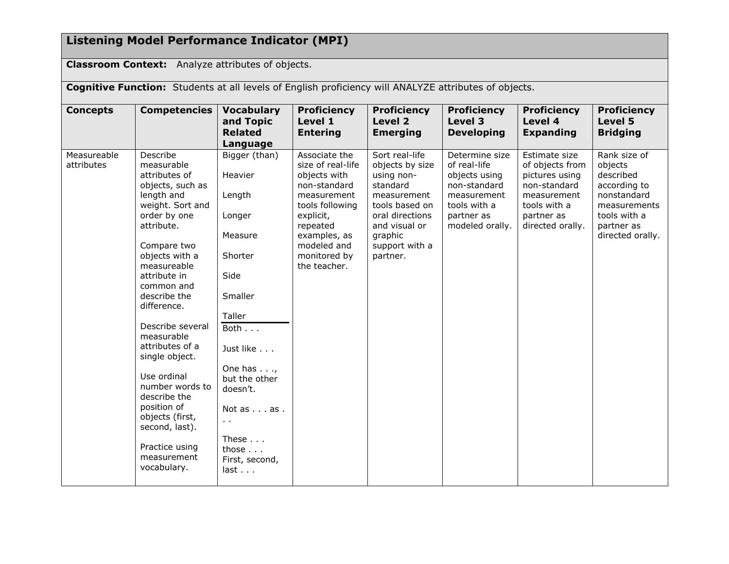# **Listening Model Performance Indicator (MPI)**

**Classroom Context:** Analyze attributes of objects.

**Cognitive Function:** Students at all levels of English proficiency will ANALYZE attributes of objects.

| <b>Concepts</b>           | <b>Competencies</b>                                                                                                                                                                                                                                                                                                                                                                                                                                                   | <b>Vocabulary</b><br>and Topic<br><b>Related</b><br>Language                                                                                                                                                                                                         | <b>Proficiency</b><br>Level 1<br><b>Entering</b>                                                                                                                                             | <b>Proficiency</b><br>Level 2<br><b>Emerging</b>                                                                                                                          | <b>Proficiency</b><br>Level 3<br><b>Developing</b>                                                                              | <b>Proficiency</b><br>Level 4<br><b>Expanding</b>                                                                                   | <b>Proficiency</b><br>Level 5<br><b>Bridging</b>                                                                                      |
|---------------------------|-----------------------------------------------------------------------------------------------------------------------------------------------------------------------------------------------------------------------------------------------------------------------------------------------------------------------------------------------------------------------------------------------------------------------------------------------------------------------|----------------------------------------------------------------------------------------------------------------------------------------------------------------------------------------------------------------------------------------------------------------------|----------------------------------------------------------------------------------------------------------------------------------------------------------------------------------------------|---------------------------------------------------------------------------------------------------------------------------------------------------------------------------|---------------------------------------------------------------------------------------------------------------------------------|-------------------------------------------------------------------------------------------------------------------------------------|---------------------------------------------------------------------------------------------------------------------------------------|
| Measureable<br>attributes | Describe<br>measurable<br>attributes of<br>objects, such as<br>length and<br>weight. Sort and<br>order by one<br>attribute.<br>Compare two<br>objects with a<br>measureable<br>attribute in<br>common and<br>describe the<br>difference.<br>Describe several<br>measurable<br>attributes of a<br>single object.<br>Use ordinal<br>number words to<br>describe the<br>position of<br>objects (first,<br>second, last).<br>Practice using<br>measurement<br>vocabulary. | Bigger (than)<br>Heavier<br>Length<br>Longer<br>Measure<br>Shorter<br>Side<br>Smaller<br>Taller<br>Both<br>Just like<br>One has $\ldots$ ,<br>but the other<br>doesn't.<br>Not as as.<br>$\sim$ $\sim$<br>These $\ldots$<br>those $\ldots$<br>First, second,<br>last | Associate the<br>size of real-life<br>objects with<br>non-standard<br>measurement<br>tools following<br>explicit,<br>repeated<br>examples, as<br>modeled and<br>monitored by<br>the teacher. | Sort real-life<br>objects by size<br>using non-<br>standard<br>measurement<br>tools based on<br>oral directions<br>and visual or<br>graphic<br>support with a<br>partner. | Determine size<br>of real-life<br>objects using<br>non-standard<br>measurement<br>tools with a<br>partner as<br>modeled orally. | Estimate size<br>of objects from<br>pictures using<br>non-standard<br>measurement<br>tools with a<br>partner as<br>directed orally. | Rank size of<br>objects<br>described<br>according to<br>nonstandard<br>measurements<br>tools with a<br>partner as<br>directed orally. |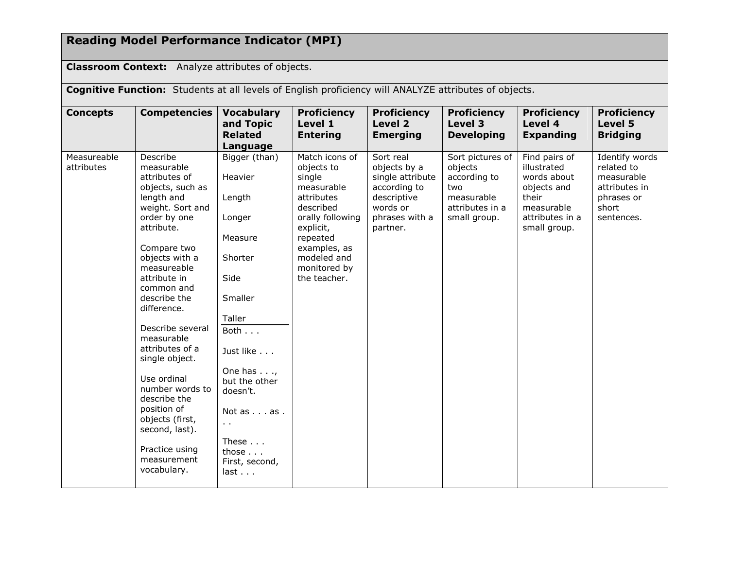# **Reading Model Performance Indicator (MPI)**

**Classroom Context:** Analyze attributes of objects.

**Cognitive Function:** Students at all levels of English proficiency will ANALYZE attributes of objects.

| <b>Concepts</b>           | <b>Competencies</b>                                                                                                                                                                                                                                                                                                                                                                                                                                                   | <b>Vocabulary</b><br>and Topic<br><b>Related</b><br>Language                                                                                                                                                                                               | <b>Proficiency</b><br>Level 1<br><b>Entering</b>                                                                                                                                            | <b>Proficiency</b><br>Level 2<br><b>Emerging</b>                                                                       | <b>Proficiency</b><br>Level 3<br><b>Developing</b>                                                  | <b>Proficiency</b><br>Level 4<br><b>Expanding</b>                                                                    | <b>Proficiency</b><br>Level 5<br><b>Bridging</b>                                                 |
|---------------------------|-----------------------------------------------------------------------------------------------------------------------------------------------------------------------------------------------------------------------------------------------------------------------------------------------------------------------------------------------------------------------------------------------------------------------------------------------------------------------|------------------------------------------------------------------------------------------------------------------------------------------------------------------------------------------------------------------------------------------------------------|---------------------------------------------------------------------------------------------------------------------------------------------------------------------------------------------|------------------------------------------------------------------------------------------------------------------------|-----------------------------------------------------------------------------------------------------|----------------------------------------------------------------------------------------------------------------------|--------------------------------------------------------------------------------------------------|
| Measureable<br>attributes | Describe<br>measurable<br>attributes of<br>objects, such as<br>length and<br>weight. Sort and<br>order by one<br>attribute.<br>Compare two<br>objects with a<br>measureable<br>attribute in<br>common and<br>describe the<br>difference.<br>Describe several<br>measurable<br>attributes of a<br>single object.<br>Use ordinal<br>number words to<br>describe the<br>position of<br>objects (first,<br>second, last).<br>Practice using<br>measurement<br>vocabulary. | Bigger (than)<br>Heavier<br>Length<br>Longer<br>Measure<br>Shorter<br>Side<br>Smaller<br>Taller<br>Both<br>Just like<br>One has $\ldots$<br>but the other<br>doesn't.<br>Not as as .<br>$\sim$ $\sim$<br>These<br>those $\ldots$<br>First, second,<br>last | Match icons of<br>objects to<br>single<br>measurable<br>attributes<br>described<br>orally following<br>explicit,<br>repeated<br>examples, as<br>modeled and<br>monitored by<br>the teacher. | Sort real<br>objects by a<br>single attribute<br>according to<br>descriptive<br>words or<br>phrases with a<br>partner. | Sort pictures of<br>objects<br>according to<br>two<br>measurable<br>attributes in a<br>small group. | Find pairs of<br>illustrated<br>words about<br>objects and<br>their<br>measurable<br>attributes in a<br>small group. | Identify words<br>related to<br>measurable<br>attributes in<br>phrases or<br>short<br>sentences. |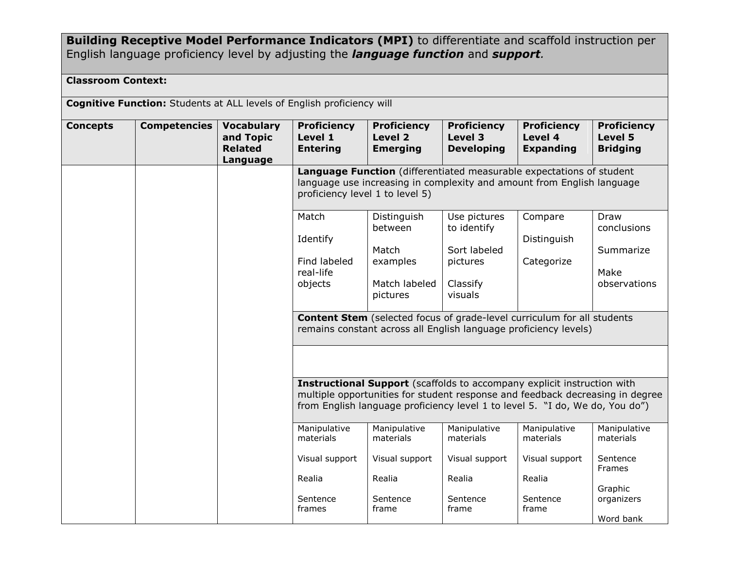### **Building Receptive Model Performance Indicators (MPI)** to differentiate and scaffold instruction per English language proficiency level by adjusting the *language function* and *support.*

### **Classroom Context:**

**Cognitive Function:** Students at ALL levels of English proficiency will

| <b>Concepts</b> | <b>Competencies</b> | <b>Vocabulary</b><br>and Topic<br><b>Related</b><br>Language | <b>Proficiency</b><br>Level 1<br><b>Entering</b>                                                                                                                                  | <b>Proficiency</b><br>Level 2<br><b>Emerging</b>                                                                                                                                                                                                | <b>Proficiency</b><br>Level 3<br><b>Developing</b> | <b>Proficiency</b><br>Level 4<br><b>Expanding</b> | <b>Proficiency</b><br>Level 5<br><b>Bridging</b> |  |  |
|-----------------|---------------------|--------------------------------------------------------------|-----------------------------------------------------------------------------------------------------------------------------------------------------------------------------------|-------------------------------------------------------------------------------------------------------------------------------------------------------------------------------------------------------------------------------------------------|----------------------------------------------------|---------------------------------------------------|--------------------------------------------------|--|--|
|                 |                     |                                                              | Language Function (differentiated measurable expectations of student<br>language use increasing in complexity and amount from English language<br>proficiency level 1 to level 5) |                                                                                                                                                                                                                                                 |                                                    |                                                   |                                                  |  |  |
|                 |                     |                                                              | Match<br>Identify                                                                                                                                                                 | Distinguish<br>between                                                                                                                                                                                                                          | Use pictures<br>to identify                        | Compare<br>Distinguish                            | Draw<br>conclusions                              |  |  |
|                 |                     |                                                              | Find labeled<br>real-life<br>objects                                                                                                                                              | Match<br>examples<br>Match labeled                                                                                                                                                                                                              | Sort labeled<br>pictures<br>Classify               | Categorize                                        | Summarize<br>Make<br>observations                |  |  |
|                 |                     |                                                              |                                                                                                                                                                                   | pictures<br><b>Content Stem</b> (selected focus of grade-level curriculum for all students<br>remains constant across all English language proficiency levels)                                                                                  | visuals                                            |                                                   |                                                  |  |  |
|                 |                     |                                                              |                                                                                                                                                                                   |                                                                                                                                                                                                                                                 |                                                    |                                                   |                                                  |  |  |
|                 |                     |                                                              |                                                                                                                                                                                   | <b>Instructional Support</b> (scaffolds to accompany explicit instruction with<br>multiple opportunities for student response and feedback decreasing in degree<br>from English language proficiency level 1 to level 5. "I do, We do, You do") |                                                    |                                                   |                                                  |  |  |
|                 |                     |                                                              | Manipulative<br>materials                                                                                                                                                         | Manipulative<br>materials                                                                                                                                                                                                                       | Manipulative<br>materials                          | Manipulative<br>materials                         | Manipulative<br>materials                        |  |  |
|                 |                     |                                                              | Visual support                                                                                                                                                                    | Visual support                                                                                                                                                                                                                                  | Visual support                                     | Visual support                                    | Sentence<br>Frames                               |  |  |
|                 |                     |                                                              | Realia<br>Sentence<br>frames                                                                                                                                                      | Realia<br>Sentence<br>frame                                                                                                                                                                                                                     | Realia<br>Sentence<br>frame                        | Realia<br>Sentence<br>frame                       | Graphic<br>organizers                            |  |  |
|                 |                     |                                                              |                                                                                                                                                                                   |                                                                                                                                                                                                                                                 |                                                    |                                                   | Word bank                                        |  |  |